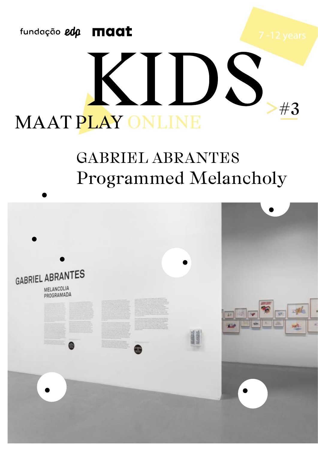

## DS Н #3 MAAT PLAY ONLINE

## GABRIEL ABRANTES Programmed Melancholy

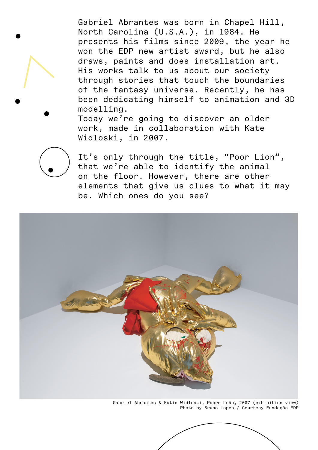Gabriel Abrantes was born in Chapel Hill, North Carolina (U.S.A.), in 1984. He presents his films since 2009, the year he won the EDP new artist award, but he also draws, paints and does installation art. His works talk to us about our society through stories that touch the boundaries of the fantasy universe. Recently, he has been dedicating himself to animation and 3D modelling.

Today we're going to discover an older work, made in collaboration with Kate Widloski, in 2007.

It's only through the title, "Poor Lion", that we're able to identify the animal on the floor. However, there are other elements that give us clues to what it may be. Which ones do you see?



Gabriel Abrantes & Katie Widloski, Pobre Leão, 2007 (exhibition view) Photo by Bruno Lopes / Courtesy Fundação EDP